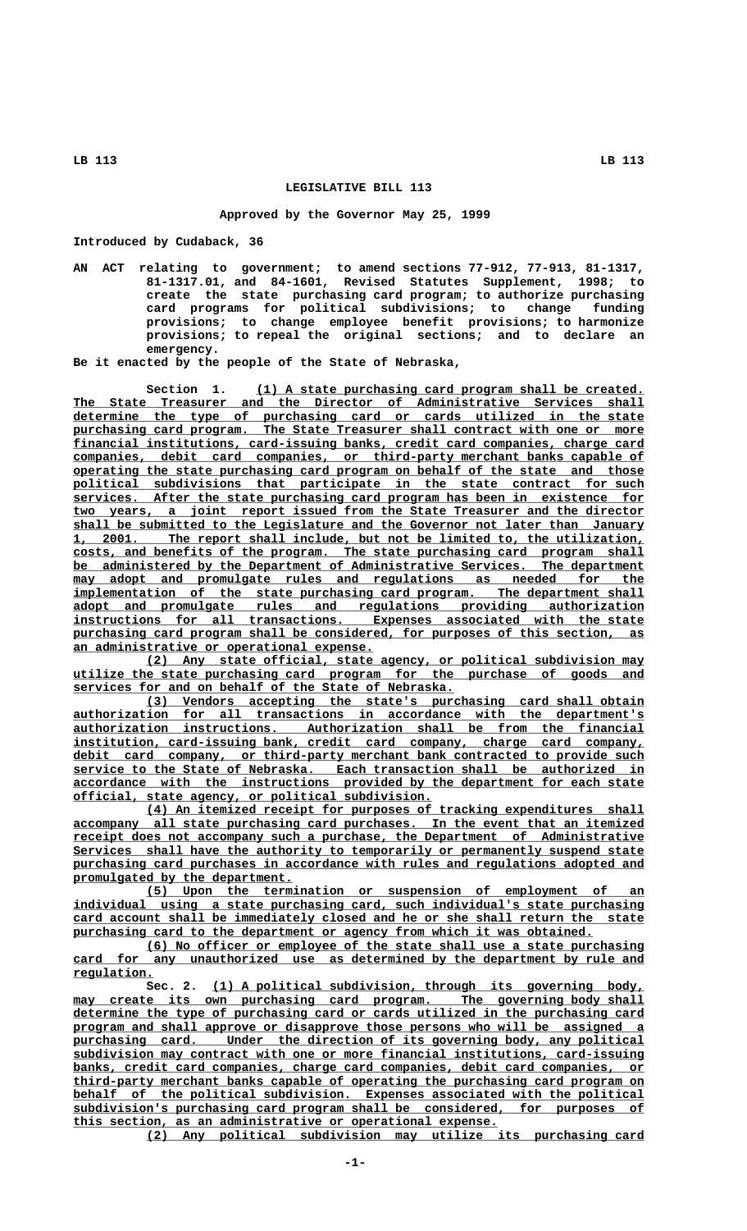## **LEGISLATIVE BILL 113**

## **Approved by the Governor May 25, 1999**

**Introduced by Cudaback, 36**

**AN ACT relating to government; to amend sections 77-912, 77-913, 81-1317, 81-1317.01, and 84-1601, Revised Statutes Supplement, 1998; to create the state purchasing card program; to authorize purchasing card programs for political subdivisions; to change funding provisions; to change employee benefit provisions; to harmonize provisions; to repeal the original sections; and to declare an emergency.**

**Be it enacted by the people of the State of Nebraska,**

 **\_\_\_\_\_\_\_\_\_\_\_\_\_\_\_\_\_\_\_\_\_\_\_\_\_\_\_\_\_\_\_\_\_\_\_\_\_\_\_\_\_\_\_\_\_\_\_\_\_\_\_\_\_ Section 1. (1) A state purchasing card program shall be created. \_\_\_\_\_\_\_\_\_\_\_\_\_\_\_\_\_\_\_\_\_\_\_\_\_\_\_\_\_\_\_\_\_\_\_\_\_\_\_\_\_\_\_\_\_\_\_\_\_\_\_\_\_\_\_\_\_\_\_\_\_\_\_\_\_\_\_\_\_\_\_\_\_\_\_\_\_\_ The State Treasurer and the Director of Administrative Services shall \_\_\_\_\_\_\_\_\_\_\_\_\_\_\_\_\_\_\_\_\_\_\_\_\_\_\_\_\_\_\_\_\_\_\_\_\_\_\_\_\_\_\_\_\_\_\_\_\_\_\_\_\_\_\_\_\_\_\_\_\_\_\_\_\_\_\_\_\_\_\_\_\_\_\_\_\_\_ determine the type of purchasing card or cards utilized in the state** purchasing card program. The State Treasurer shall contract with one or more  **\_\_\_\_\_\_\_\_\_\_\_\_\_\_\_\_\_\_\_\_\_\_\_\_\_\_\_\_\_\_\_\_\_\_\_\_\_\_\_\_\_\_\_\_\_\_\_\_\_\_\_\_\_\_\_\_\_\_\_\_\_\_\_\_\_\_\_\_\_\_\_\_\_\_\_\_\_\_ financial institutions, card-issuing banks, credit card companies, charge card \_\_\_\_\_\_\_\_\_\_\_\_\_\_\_\_\_\_\_\_\_\_\_\_\_\_\_\_\_\_\_\_\_\_\_\_\_\_\_\_\_\_\_\_\_\_\_\_\_\_\_\_\_\_\_\_\_\_\_\_\_\_\_\_\_\_\_\_\_\_\_\_\_\_\_\_\_\_ companies, debit card companies, or third-party merchant banks capable of \_\_\_\_\_\_\_\_\_\_\_\_\_\_\_\_\_\_\_\_\_\_\_\_\_\_\_\_\_\_\_\_\_\_\_\_\_\_\_\_\_\_\_\_\_\_\_\_\_\_\_\_\_\_\_\_\_\_\_\_\_\_\_\_\_\_\_\_\_\_\_\_\_\_\_\_\_\_ operating the state purchasing card program on behalf of the state and those \_\_\_\_\_\_\_\_\_\_\_\_\_\_\_\_\_\_\_\_\_\_\_\_\_\_\_\_\_\_\_\_\_\_\_\_\_\_\_\_\_\_\_\_\_\_\_\_\_\_\_\_\_\_\_\_\_\_\_\_\_\_\_\_\_\_\_\_\_\_\_\_\_\_\_\_\_\_ political subdivisions that participate in the state contract for such \_\_\_\_\_\_\_\_\_\_\_\_\_\_\_\_\_\_\_\_\_\_\_\_\_\_\_\_\_\_\_\_\_\_\_\_\_\_\_\_\_\_\_\_\_\_\_\_\_\_\_\_\_\_\_\_\_\_\_\_\_\_\_\_\_\_\_\_\_\_\_\_\_\_\_\_\_\_ services. After the state purchasing card program has been in existence for \_\_\_\_\_\_\_\_\_\_\_\_\_\_\_\_\_\_\_\_\_\_\_\_\_\_\_\_\_\_\_\_\_\_\_\_\_\_\_\_\_\_\_\_\_\_\_\_\_\_\_\_\_\_\_\_\_\_\_\_\_\_\_\_\_\_\_\_\_\_\_\_\_\_\_\_\_\_ two years, a joint report issued from the State Treasurer and the director \_\_\_\_\_\_\_\_\_\_\_\_\_\_\_\_\_\_\_\_\_\_\_\_\_\_\_\_\_\_\_\_\_\_\_\_\_\_\_\_\_\_\_\_\_\_\_\_\_\_\_\_\_\_\_\_\_\_\_\_\_\_\_\_\_\_\_\_\_\_\_\_\_\_\_\_\_\_ shall be submitted to the Legislature and the Governor not later than January \_\_\_\_\_\_\_\_\_\_\_\_\_\_\_\_\_\_\_\_\_\_\_\_\_\_\_\_\_\_\_\_\_\_\_\_\_\_\_\_\_\_\_\_\_\_\_\_\_\_\_\_\_\_\_\_\_\_\_\_\_\_\_\_\_\_\_\_\_\_\_\_\_\_\_\_\_\_ 1, 2001. The report shall include, but not be limited to, the utilization, \_\_\_\_\_\_\_\_\_\_\_\_\_\_\_\_\_\_\_\_\_\_\_\_\_\_\_\_\_\_\_\_\_\_\_\_\_\_\_\_\_\_\_\_\_\_\_\_\_\_\_\_\_\_\_\_\_\_\_\_\_\_\_\_\_\_\_\_\_\_\_\_\_\_\_\_\_\_ costs, and benefits of the program. The state purchasing card program shall \_\_\_\_\_\_\_\_\_\_\_\_\_\_\_\_\_\_\_\_\_\_\_\_\_\_\_\_\_\_\_\_\_\_\_\_\_\_\_\_\_\_\_\_\_\_\_\_\_\_\_\_\_\_\_\_\_\_\_\_\_\_\_\_\_\_\_\_\_\_\_\_\_\_\_\_\_\_ be administered by the Department of Administrative Services. The department**  $\frac{may\cdot\text{ adopt\cdot\text{and}}{\text{promulgate\cdot\text{rules\cdot\text{and}}{\text{regulations\cdot\text{as}}{\text{needed\cdot\text{for}}{\text{the}}}}}$ implementation of the state purchasing card program. The department shall  **\_\_\_\_\_\_\_\_\_\_\_\_\_\_\_\_\_\_\_\_\_\_\_\_\_\_\_\_\_\_\_\_\_\_\_\_\_\_\_\_\_\_\_\_\_\_\_\_\_\_\_\_\_\_\_\_\_\_\_\_\_\_\_\_\_\_\_\_\_\_\_\_\_\_\_\_\_\_ adopt and promulgate rules and regulations providing authorization Expenses** associated with the state purchasing card program shall be considered, for purposes of this section, as  **\_\_\_\_\_\_\_\_\_\_\_\_\_\_\_\_\_\_\_\_\_\_\_\_\_\_\_\_\_\_\_\_\_\_\_\_\_\_\_\_\_ an administrative or operational expense.**

 **\_\_\_\_\_\_\_\_\_\_\_\_\_\_\_\_\_\_\_\_\_\_\_\_\_\_\_\_\_\_\_\_\_\_\_\_\_\_\_\_\_\_\_\_\_\_\_\_\_\_\_\_\_\_\_\_\_\_\_\_\_\_\_\_\_\_\_\_ (2) Any state official, state agency, or political subdivision may \_\_\_\_\_\_\_\_\_\_\_\_\_\_\_\_\_\_\_\_\_\_\_\_\_\_\_\_\_\_\_\_\_\_\_\_\_\_\_\_\_\_\_\_\_\_\_\_\_\_\_\_\_\_\_\_\_\_\_\_\_\_\_\_\_\_\_\_\_\_\_\_\_\_\_\_\_\_ utilize the state purchasing card program for the purchase of goods and \_\_\_\_\_\_\_\_\_\_\_\_\_\_\_\_\_\_\_\_\_\_\_\_\_\_\_\_\_\_\_\_\_\_\_\_\_\_\_\_\_\_\_\_\_\_\_\_\_\_\_\_ services for and on behalf of the State of Nebraska.**

 **\_\_\_\_\_\_\_\_\_\_\_\_\_\_\_\_\_\_\_\_\_\_\_\_\_\_\_\_\_\_\_\_\_\_\_\_\_\_\_\_\_\_\_\_\_\_\_\_\_\_\_\_\_\_\_\_\_\_\_\_\_\_\_\_\_\_\_\_ (3) Vendors accepting the state's purchasing card shall obtain \_\_\_\_\_\_\_\_\_\_\_\_\_\_\_\_\_\_\_\_\_\_\_\_\_\_\_\_\_\_\_\_\_\_\_\_\_\_\_\_\_\_\_\_\_\_\_\_\_\_\_\_\_\_\_\_\_\_\_\_\_\_\_\_\_\_\_\_\_\_\_\_\_\_\_\_\_\_ authorization for all transactions in accordance with the department's \_\_\_\_\_\_\_\_\_\_\_\_\_\_\_\_\_\_\_\_\_\_\_\_\_\_\_\_\_\_\_\_\_\_\_\_\_\_\_\_\_\_\_\_\_\_\_\_\_\_\_\_\_\_\_\_\_\_\_\_\_\_\_\_\_\_\_\_\_\_\_\_\_\_\_\_\_\_ authorization instructions. Authorization shall be from the financial \_\_\_\_\_\_\_\_\_\_\_\_\_\_\_\_\_\_\_\_\_\_\_\_\_\_\_\_\_\_\_\_\_\_\_\_\_\_\_\_\_\_\_\_\_\_\_\_\_\_\_\_\_\_\_\_\_\_\_\_\_\_\_\_\_\_\_\_\_\_\_\_\_\_\_\_\_\_ institution, card-issuing bank, credit card company, charge card company, \_\_\_\_\_\_\_\_\_\_\_\_\_\_\_\_\_\_\_\_\_\_\_\_\_\_\_\_\_\_\_\_\_\_\_\_\_\_\_\_\_\_\_\_\_\_\_\_\_\_\_\_\_\_\_\_\_\_\_\_\_\_\_\_\_\_\_\_\_\_\_\_\_\_\_\_\_\_ debit card company, or third-party merchant bank contracted to provide such \_\_\_\_\_\_\_\_\_\_\_\_\_\_\_\_\_\_\_\_\_\_\_\_\_\_\_\_\_\_\_\_\_\_\_\_\_\_\_\_\_\_\_\_\_\_\_\_\_\_\_\_\_\_\_\_\_\_\_\_\_\_\_\_\_\_\_\_\_\_\_\_\_\_\_\_\_\_ service to the State of Nebraska. Each transaction shall be authorized in \_\_\_\_\_\_\_\_\_\_\_\_\_\_\_\_\_\_\_\_\_\_\_\_\_\_\_\_\_\_\_\_\_\_\_\_\_\_\_\_\_\_\_\_\_\_\_\_\_\_\_\_\_\_\_\_\_\_\_\_\_\_\_\_\_\_\_\_\_\_\_\_\_\_\_\_\_\_ accordance with the instructions provided by the department for each state \_\_\_\_\_\_\_\_\_\_\_\_\_\_\_\_\_\_\_\_\_\_\_\_\_\_\_\_\_\_\_\_\_\_\_\_\_\_\_\_\_\_\_\_\_\_\_\_\_ official, state agency, or political subdivision.**

 **\_\_\_\_\_\_\_\_\_\_\_\_\_\_\_\_\_\_\_\_\_\_\_\_\_\_\_\_\_\_\_\_\_\_\_\_\_\_\_\_\_\_\_\_\_\_\_\_\_\_\_\_\_\_\_\_\_\_\_\_\_\_\_\_\_\_\_\_ (4) An itemized receipt for purposes of tracking expenditures shall \_\_\_\_\_\_\_\_\_\_\_\_\_\_\_\_\_\_\_\_\_\_\_\_\_\_\_\_\_\_\_\_\_\_\_\_\_\_\_\_\_\_\_\_\_\_\_\_\_\_\_\_\_\_\_\_\_\_\_\_\_\_\_\_\_\_\_\_\_\_\_\_\_\_\_\_\_\_ accompany all state purchasing card purchases. In the event that an itemized \_\_\_\_\_\_\_\_\_\_\_\_\_\_\_\_\_\_\_\_\_\_\_\_\_\_\_\_\_\_\_\_\_\_\_\_\_\_\_\_\_\_\_\_\_\_\_\_\_\_\_\_\_\_\_\_\_\_\_\_\_\_\_\_\_\_\_\_\_\_\_\_\_\_\_\_\_\_ receipt does not accompany such a purchase, the Department of Administrative \_\_\_\_\_\_\_\_\_\_\_\_\_\_\_\_\_\_\_\_\_\_\_\_\_\_\_\_\_\_\_\_\_\_\_\_\_\_\_\_\_\_\_\_\_\_\_\_\_\_\_\_\_\_\_\_\_\_\_\_\_\_\_\_\_\_\_\_\_\_\_\_\_\_\_\_\_\_ Services shall have the authority to temporarily or permanently suspend state** purchasing card purchases in accordance with rules and regulations adopted and  **\_\_\_\_\_\_\_\_\_\_\_\_\_\_\_\_\_\_\_\_\_\_\_\_\_\_\_\_\_\_ promulgated by the department.**

 **\_\_\_\_\_\_\_\_\_\_\_\_\_\_\_\_\_\_\_\_\_\_\_\_\_\_\_\_\_\_\_\_\_\_\_\_\_\_\_\_\_\_\_\_\_\_\_\_\_\_\_\_\_\_\_\_\_\_\_\_\_\_\_\_\_\_\_\_ (5) Upon the termination or suspension of employment of an \_\_\_\_\_\_\_\_\_\_\_\_\_\_\_\_\_\_\_\_\_\_\_\_\_\_\_\_\_\_\_\_\_\_\_\_\_\_\_\_\_\_\_\_\_\_\_\_\_\_\_\_\_\_\_\_\_\_\_\_\_\_\_\_\_\_\_\_\_\_\_\_\_\_\_\_\_\_ individual using a state purchasing card, such individual's state purchasing \_\_\_\_\_\_\_\_\_\_\_\_\_\_\_\_\_\_\_\_\_\_\_\_\_\_\_\_\_\_\_\_\_\_\_\_\_\_\_\_\_\_\_\_\_\_\_\_\_\_\_\_\_\_\_\_\_\_\_\_\_\_\_\_\_\_\_\_\_\_\_\_\_\_\_\_\_\_ card account shall be immediately closed and he or she shall return the state \_\_\_\_\_\_\_\_\_\_\_\_\_\_\_\_\_\_\_\_\_\_\_\_\_\_\_\_\_\_\_\_\_\_\_\_\_\_\_\_\_\_\_\_\_\_\_\_\_\_\_\_\_\_\_\_\_\_\_\_\_\_\_\_\_\_\_\_\_\_\_ purchasing card to the department or agency from which it was obtained.**

 **\_\_\_\_\_\_\_\_\_\_\_\_\_\_\_\_\_\_\_\_\_\_\_\_\_\_\_\_\_\_\_\_\_\_\_\_\_\_\_\_\_\_\_\_\_\_\_\_\_\_\_\_\_\_\_\_\_\_\_\_\_\_\_\_\_\_\_\_ (6) No officer or employee of the state shall use a state purchasing** card for any unauthorized use as determined by the department by rule and  **regulation. \_\_\_\_\_\_\_\_\_\_\_**

 **\_\_\_\_\_\_\_\_\_\_\_\_\_\_\_\_\_\_\_\_\_\_\_\_\_\_\_\_\_\_\_\_\_\_\_\_\_\_\_\_\_\_\_\_\_\_\_\_\_\_\_\_\_\_\_\_\_\_\_ Sec. 2. (1) A political subdivision, through its governing body,**  $\texttt{may create its own purchasing card program.}$  The governing body shall  **\_\_\_\_\_\_\_\_\_\_\_\_\_\_\_\_\_\_\_\_\_\_\_\_\_\_\_\_\_\_\_\_\_\_\_\_\_\_\_\_\_\_\_\_\_\_\_\_\_\_\_\_\_\_\_\_\_\_\_\_\_\_\_\_\_\_\_\_\_\_\_\_\_\_\_\_\_\_ determine the type of purchasing card or cards utilized in the purchasing card \_\_\_\_\_\_\_\_\_\_\_\_\_\_\_\_\_\_\_\_\_\_\_\_\_\_\_\_\_\_\_\_\_\_\_\_\_\_\_\_\_\_\_\_\_\_\_\_\_\_\_\_\_\_\_\_\_\_\_\_\_\_\_\_\_\_\_\_\_\_\_\_\_\_\_\_\_\_ program and shall approve or disapprove those persons who will be assigned a** purchasing card. Under the direction of its governing body, any political  **\_\_\_\_\_\_\_\_\_\_\_\_\_\_\_\_\_\_\_\_\_\_\_\_\_\_\_\_\_\_\_\_\_\_\_\_\_\_\_\_\_\_\_\_\_\_\_\_\_\_\_\_\_\_\_\_\_\_\_\_\_\_\_\_\_\_\_\_\_\_\_\_\_\_\_\_\_\_ subdivision may contract with one or more financial institutions, card-issuing \_\_\_\_\_\_\_\_\_\_\_\_\_\_\_\_\_\_\_\_\_\_\_\_\_\_\_\_\_\_\_\_\_\_\_\_\_\_\_\_\_\_\_\_\_\_\_\_\_\_\_\_\_\_\_\_\_\_\_\_\_\_\_\_\_\_\_\_\_\_\_\_\_\_\_\_\_\_ banks, credit card companies, charge card companies, debit card companies, or \_\_\_\_\_\_\_\_\_\_\_\_\_\_\_\_\_\_\_\_\_\_\_\_\_\_\_\_\_\_\_\_\_\_\_\_\_\_\_\_\_\_\_\_\_\_\_\_\_\_\_\_\_\_\_\_\_\_\_\_\_\_\_\_\_\_\_\_\_\_\_\_\_\_\_\_\_\_ third-party merchant banks capable of operating the purchasing card program on \_\_\_\_\_\_\_\_\_\_\_\_\_\_\_\_\_\_\_\_\_\_\_\_\_\_\_\_\_\_\_\_\_\_\_\_\_\_\_\_\_\_\_\_\_\_\_\_\_\_\_\_\_\_\_\_\_\_\_\_\_\_\_\_\_\_\_\_\_\_\_\_\_\_\_\_\_\_ behalf of the political subdivision. Expenses associated with the political \_\_\_\_\_\_\_\_\_\_\_\_\_\_\_\_\_\_\_\_\_\_\_\_\_\_\_\_\_\_\_\_\_\_\_\_\_\_\_\_\_\_\_\_\_\_\_\_\_\_\_\_\_\_\_\_\_\_\_\_\_\_\_\_\_\_\_\_\_\_\_\_\_\_\_\_\_\_ subdivision's purchasing card program shall be considered, for purposes of \_\_\_\_\_\_\_\_\_\_\_\_\_\_\_\_\_\_\_\_\_\_\_\_\_\_\_\_\_\_\_\_\_\_\_\_\_\_\_\_\_\_\_\_\_\_\_\_\_\_\_\_\_\_\_\_\_\_ this section, as an administrative or operational expense.**

 **\_\_\_\_\_\_\_\_\_\_\_\_\_\_\_\_\_\_\_\_\_\_\_\_\_\_\_\_\_\_\_\_\_\_\_\_\_\_\_\_\_\_\_\_\_\_\_\_\_\_\_\_\_\_\_\_\_\_\_\_\_\_\_\_\_\_\_\_ (2) Any political subdivision may utilize its purchasing card**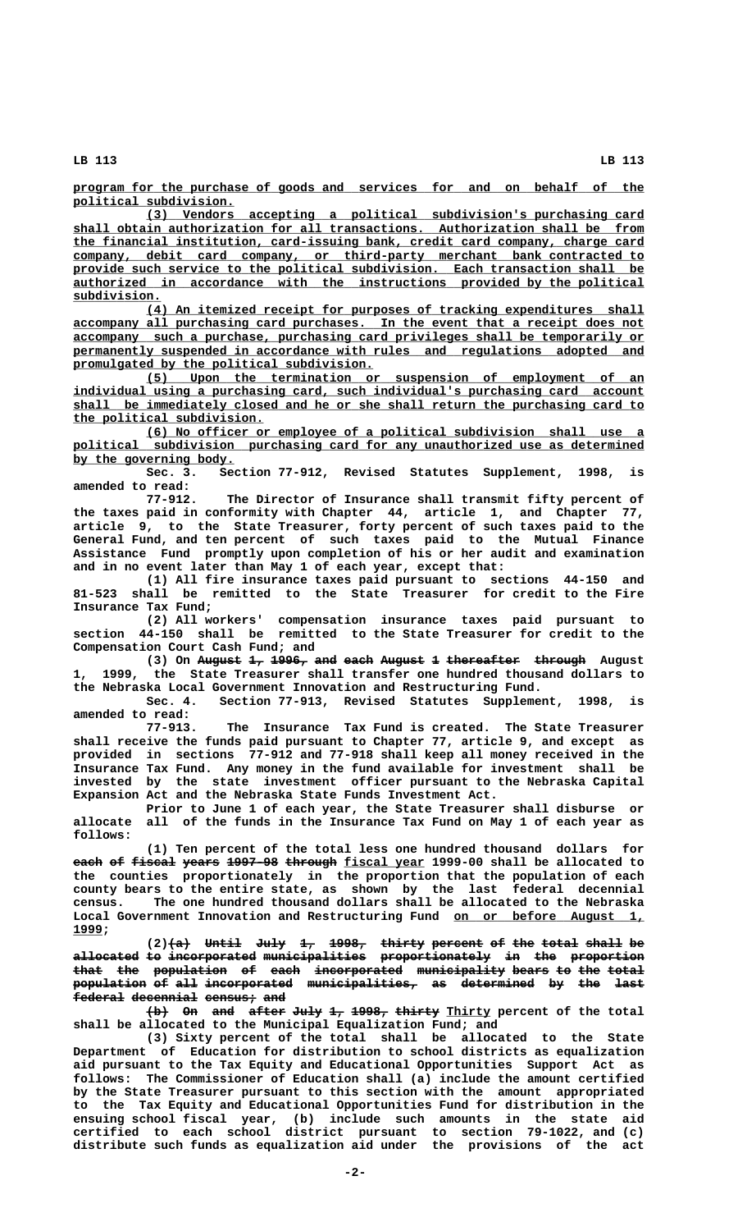**LB 113 LB 113**

 **\_\_\_\_\_\_\_\_\_\_\_\_\_\_\_\_\_\_\_\_\_\_\_\_\_\_\_\_\_\_\_\_\_\_\_\_\_\_\_\_\_\_\_\_\_\_\_\_\_\_\_\_\_\_\_\_\_\_\_\_\_\_\_\_\_\_\_\_\_\_\_\_\_\_\_\_\_\_ program for the purchase of goods and services for and on behalf of the political subdivision. \_\_\_\_\_\_\_\_\_\_\_\_\_\_\_\_\_\_\_\_\_\_**

 **\_\_\_\_\_\_\_\_\_\_\_\_\_\_\_\_\_\_\_\_\_\_\_\_\_\_\_\_\_\_\_\_\_\_\_\_\_\_\_\_\_\_\_\_\_\_\_\_\_\_\_\_\_\_\_\_\_\_\_\_\_\_\_\_\_\_\_\_ (3) Vendors accepting a political subdivision's purchasing card \_\_\_\_\_\_\_\_\_\_\_\_\_\_\_\_\_\_\_\_\_\_\_\_\_\_\_\_\_\_\_\_\_\_\_\_\_\_\_\_\_\_\_\_\_\_\_\_\_\_\_\_\_\_\_\_\_\_\_\_\_\_\_\_\_\_\_\_\_\_\_\_\_\_\_\_\_\_ shall obtain authorization for all transactions. Authorization shall be from \_\_\_\_\_\_\_\_\_\_\_\_\_\_\_\_\_\_\_\_\_\_\_\_\_\_\_\_\_\_\_\_\_\_\_\_\_\_\_\_\_\_\_\_\_\_\_\_\_\_\_\_\_\_\_\_\_\_\_\_\_\_\_\_\_\_\_\_\_\_\_\_\_\_\_\_\_\_ the financial institution, card-issuing bank, credit card company, charge card \_\_\_\_\_\_\_\_\_\_\_\_\_\_\_\_\_\_\_\_\_\_\_\_\_\_\_\_\_\_\_\_\_\_\_\_\_\_\_\_\_\_\_\_\_\_\_\_\_\_\_\_\_\_\_\_\_\_\_\_\_\_\_\_\_\_\_\_\_\_\_\_\_\_\_\_\_\_ company, debit card company, or third-party merchant bank contracted to** provide such service to the political subdivision. Each transaction shall be  **\_\_\_\_\_\_\_\_\_\_\_\_\_\_\_\_\_\_\_\_\_\_\_\_\_\_\_\_\_\_\_\_\_\_\_\_\_\_\_\_\_\_\_\_\_\_\_\_\_\_\_\_\_\_\_\_\_\_\_\_\_\_\_\_\_\_\_\_\_\_\_\_\_\_\_\_\_\_ authorized in accordance with the instructions provided by the political subdivision. \_\_\_\_\_\_\_\_\_\_\_\_**

 **\_\_\_\_\_\_\_\_\_\_\_\_\_\_\_\_\_\_\_\_\_\_\_\_\_\_\_\_\_\_\_\_\_\_\_\_\_\_\_\_\_\_\_\_\_\_\_\_\_\_\_\_\_\_\_\_\_\_\_\_\_\_\_\_\_\_\_\_ (4) An itemized receipt for purposes of tracking expenditures shall \_\_\_\_\_\_\_\_\_\_\_\_\_\_\_\_\_\_\_\_\_\_\_\_\_\_\_\_\_\_\_\_\_\_\_\_\_\_\_\_\_\_\_\_\_\_\_\_\_\_\_\_\_\_\_\_\_\_\_\_\_\_\_\_\_\_\_\_\_\_\_\_\_\_\_\_\_\_ accompany all purchasing card purchases. In the event that a receipt does not \_\_\_\_\_\_\_\_\_\_\_\_\_\_\_\_\_\_\_\_\_\_\_\_\_\_\_\_\_\_\_\_\_\_\_\_\_\_\_\_\_\_\_\_\_\_\_\_\_\_\_\_\_\_\_\_\_\_\_\_\_\_\_\_\_\_\_\_\_\_\_\_\_\_\_\_\_\_ accompany such a purchase, purchasing card privileges shall be temporarily or \_\_\_\_\_\_\_\_\_\_\_\_\_\_\_\_\_\_\_\_\_\_\_\_\_\_\_\_\_\_\_\_\_\_\_\_\_\_\_\_\_\_\_\_\_\_\_\_\_\_\_\_\_\_\_\_\_\_\_\_\_\_\_\_\_\_\_\_\_\_\_\_\_\_\_\_\_\_ permanently suspended in accordance with rules and regulations adopted and \_\_\_\_\_\_\_\_\_\_\_\_\_\_\_\_\_\_\_\_\_\_\_\_\_\_\_\_\_\_\_\_\_\_\_\_\_\_\_\_\_ promulgated by the political subdivision.**

 **\_\_\_\_\_\_\_\_\_\_\_\_\_\_\_\_\_\_\_\_\_\_\_\_\_\_\_\_\_\_\_\_\_\_\_\_\_\_\_\_\_\_\_\_\_\_\_\_\_\_\_\_\_\_\_\_\_\_\_\_\_\_\_\_\_\_\_\_ (5) Upon the termination or suspension of employment of an** individual using a purchasing card, such individual's purchasing card account  **\_\_\_\_\_\_\_\_\_\_\_\_\_\_\_\_\_\_\_\_\_\_\_\_\_\_\_\_\_\_\_\_\_\_\_\_\_\_\_\_\_\_\_\_\_\_\_\_\_\_\_\_\_\_\_\_\_\_\_\_\_\_\_\_\_\_\_\_\_\_\_\_\_\_\_\_\_\_ shall be immediately closed and he or she shall return the purchasing card to \_\_\_\_\_\_\_\_\_\_\_\_\_\_\_\_\_\_\_\_\_\_\_\_\_\_ the political subdivision.**

 **\_\_\_\_\_\_\_\_\_\_\_\_\_\_\_\_\_\_\_\_\_\_\_\_\_\_\_\_\_\_\_\_\_\_\_\_\_\_\_\_\_\_\_\_\_\_\_\_\_\_\_\_\_\_\_\_\_\_\_\_\_\_\_\_\_\_\_\_ (6) No officer or employee of a political subdivision shall use a \_\_\_\_\_\_\_\_\_\_\_\_\_\_\_\_\_\_\_\_\_\_\_\_\_\_\_\_\_\_\_\_\_\_\_\_\_\_\_\_\_\_\_\_\_\_\_\_\_\_\_\_\_\_\_\_\_\_\_\_\_\_\_\_\_\_\_\_\_\_\_\_\_\_\_\_\_\_ political subdivision purchasing card for any unauthorized use as determined** by the governing body.

**Sec. 3. Section 77-912, Revised Statutes Supplement, 1998, is amended to read:**

The Director of Insurance shall transmit fifty percent of **the taxes paid in conformity with Chapter 44, article 1, and Chapter 77, article 9, to the State Treasurer, forty percent of such taxes paid to the General Fund, and ten percent of such taxes paid to the Mutual Finance Assistance Fund promptly upon completion of his or her audit and examination and in no event later than May 1 of each year, except that:**

**(1) All fire insurance taxes paid pursuant to sections 44-150 and 81-523 shall be remitted to the State Treasurer for credit to the Fire Insurance Tax Fund;**

**(2) All workers' compensation insurance taxes paid pursuant to section 44-150 shall be remitted to the State Treasurer for credit to the Compensation Court Cash Fund; and**

**(3)** On August 1, 1996, and each August 1 thereafter through August **1, 1999, the State Treasurer shall transfer one hundred thousand dollars to the Nebraska Local Government Innovation and Restructuring Fund.**

**Sec. 4. Section 77-913, Revised Statutes Supplement, 1998, is amended to read:**

**77-913. The Insurance Tax Fund is created. The State Treasurer shall receive the funds paid pursuant to Chapter 77, article 9, and except as provided in sections 77-912 and 77-918 shall keep all money received in the Insurance Tax Fund. Any money in the fund available for investment shall be invested by the state investment officer pursuant to the Nebraska Capital Expansion Act and the Nebraska State Funds Investment Act.**

**Prior to June 1 of each year, the State Treasurer shall disburse or allocate all of the funds in the Insurance Tax Fund on May 1 of each year as follows:**

**(1) Ten percent of the total less one hundred thousand dollars for each of fiscal years 1997-98 through fiscal year 1999-00 shall be allocated to the counties proportionately in the proportion that the population of each county bears to the entire state, as shown by the last federal decennial census. The one hundred thousand dollars shall be allocated to the Nebraska** Local Government Innovation and Restructuring Fund on or before August 1,  **1999; \_\_\_\_**

(2)<del>(a) Until July 1, 1998, thirty percent of the total shall be</del> **allocated to incorporated municipalities proportionately in the proportion ————————— —— ———————————— —————————————— ——————————————— —— ——— —————————** that the population of each incorporated municipality bears to the total population of all incorporated municipalities, as determined by the last **federal decennial census; and ——————— ————————— ——————— ———**

**(b)** On and after July 1, 1998, thirty Thirty percent of the total **shall be allocated to the Municipal Equalization Fund; and**

**(3) Sixty percent of the total shall be allocated to the State Department of Education for distribution to school districts as equalization aid pursuant to the Tax Equity and Educational Opportunities Support Act as follows: The Commissioner of Education shall (a) include the amount certified by the State Treasurer pursuant to this section with the amount appropriated to the Tax Equity and Educational Opportunities Fund for distribution in the ensuing school fiscal year, (b) include such amounts in the state aid certified to each school district pursuant to section 79-1022, and (c) distribute such funds as equalization aid under the provisions of the act**